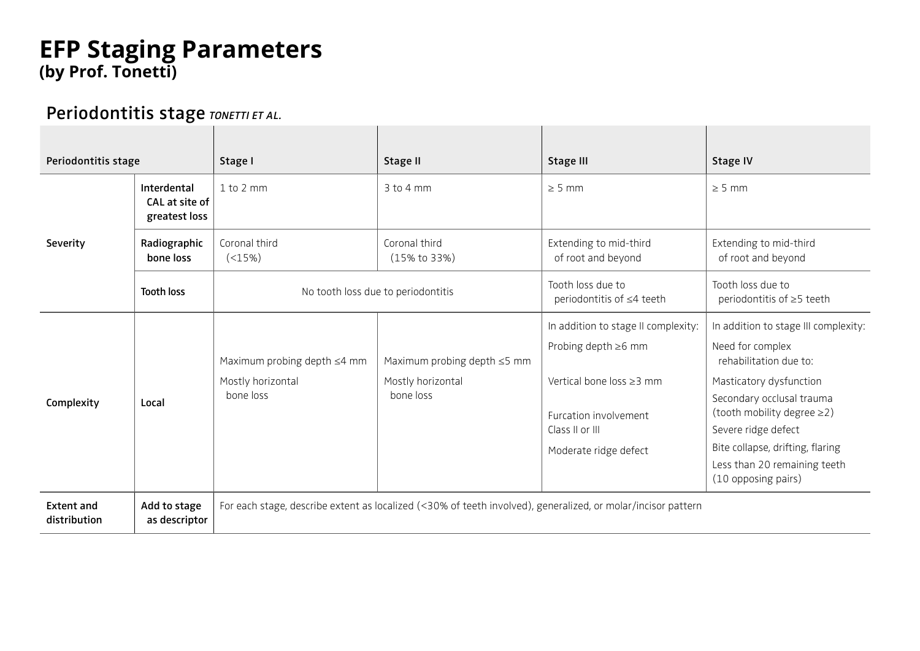## **EFP Staging Parameters (by Prof. Tonetti)**

## Periodontitis stage TONETTI ET AL.

| Periodontitis stage               |                                                | Stage I                                                       | Stage II                                                      | Stage III                                                                                                                                                               | <b>Stage IV</b>                                                                                                                                                                                                                                                                            |
|-----------------------------------|------------------------------------------------|---------------------------------------------------------------|---------------------------------------------------------------|-------------------------------------------------------------------------------------------------------------------------------------------------------------------------|--------------------------------------------------------------------------------------------------------------------------------------------------------------------------------------------------------------------------------------------------------------------------------------------|
| Severity                          | Interdental<br>CAL at site of<br>greatest loss | $1$ to $2$ mm                                                 | 3 to 4 mm                                                     | $\geq$ 5 mm                                                                                                                                                             | $\geq$ 5 mm                                                                                                                                                                                                                                                                                |
|                                   | Radiographic<br>bone loss                      | Coronal third<br>$(<15\%)$                                    | Coronal third<br>(15% to 33%)                                 | Extending to mid-third<br>of root and beyond                                                                                                                            | Extending to mid-third<br>of root and beyond                                                                                                                                                                                                                                               |
|                                   | <b>Tooth loss</b>                              | No tooth loss due to periodontitis                            |                                                               | Tooth loss due to<br>periodontitis of ≤4 teeth                                                                                                                          | Tooth loss due to<br>periodontitis of ≥5 teeth                                                                                                                                                                                                                                             |
| Complexity                        | Local                                          | Maximum probing depth ≤4 mm<br>Mostly horizontal<br>bone loss | Maximum probing depth ≤5 mm<br>Mostly horizontal<br>bone loss | In addition to stage II complexity:<br>Probing depth $\geq 6$ mm<br>Vertical bone loss $\geq$ 3 mm<br>Furcation involvement<br>Class II or III<br>Moderate ridge defect | In addition to stage III complexity:<br>Need for complex<br>rehabilitation due to:<br>Masticatory dysfunction<br>Secondary occlusal trauma<br>(tooth mobility degree ≥2)<br>Severe ridge defect<br>Bite collapse, drifting, flaring<br>Less than 20 remaining teeth<br>(10 opposing pairs) |
| <b>Extent and</b><br>distribution | Add to stage<br>as descriptor                  |                                                               |                                                               | For each stage, describe extent as localized (<30% of teeth involved), generalized, or molar/incisor pattern                                                            |                                                                                                                                                                                                                                                                                            |